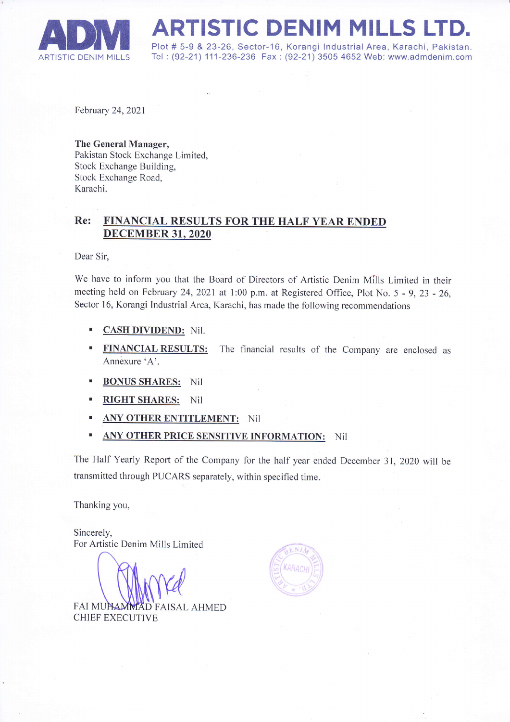

**ADM ARTISTIC DENIM MILLS LTD.**<br>ARTISTIC DENIM MILLS Tel: (92-21) 111-236-236 Fax : (92-21) 3505 4652 Web: www.admdenim.com Tel: (92-21) 111-236-236 Fax : (92-21) 3505 4652 Web: www.admdenim.com

February 24,2021

## The General Manager,

Pakistan Stock Exchange Limited, Stock Exchange Building, Stock Exchange Road, Karachi.

## Re: FINANCIAL RESULTS FOR THE HALF YEAR ENDED **DECEMBER 31, 2020**

Dear Sir,

We have to inform you that the Board of Directors of Artistic Denim Mills Limited in their meeting held on February 24,2021 at I:00 p.m. at Registered Office, Plot No. 5 - 9, 23 - 26, Sector 16, Korangi Industrial Area, Karachi, has made the following recommendations

- $\mathbf{u}$ CASH DIVIDEND: NiI.
- $\mathbf{B}$ **FINANCIAL RESULTS:** The financial results of the Company are enclosed as Annexure'A'.
- BONUS SHARES: Nil
- RIGHT SHARES: NiI
- ANY OTHER ENTITLEMENT: Nil
- ANY OTHER PRICE SENSITIVE INFORMATION: Nil

The Half Yearly Report of the Company for the half year ended December 31, 2020 will be transmitted through PUCARS separately, within specified time.

Thanking you,

Sincerely, For Artistic Denim Mills Limited

FAI MUNAMMAD FAISAL AHMED CHIEF EXECUTIVE